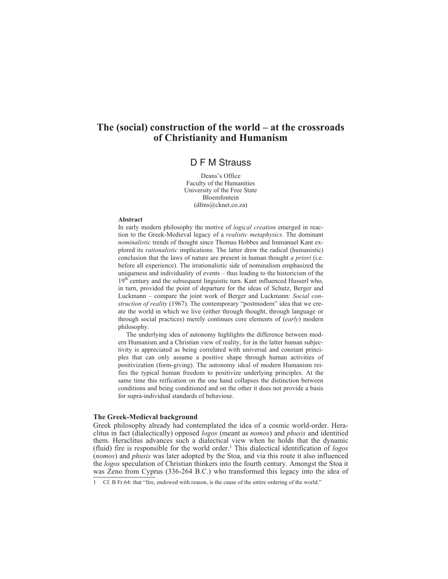# **The (social) construction of the world – at the crossroads of Christianity and Humanism**

# D F M Strauss

Deans's Office Faculty of the Humanities University of the Free State Bloemfontein (dfms@cknet.co.za)

#### **Abstract**

In early modern philosophy the motive of *logical creation* emerged in reaction to the Greek-Medieval legacy of a *realistic metaphysics*. The dominant *nominalistic* trends of thought since Thomas Hobbes and Immanuel Kant explored its *rationalistic* implications. The latter drew the radical (humanistic) conclusion that the laws of nature are present in human thought *a priori* (i.e. before all experience). The irrationalistic side of nominalism emphasized the uniqueness and individuality of events – thus leading to the historicism of the 19<sup>th</sup> century and the subsequent linguistic turn. Kant influenced Husserl who, in turn, provided the point of departure for the ideas of Schutz, Berger and Luckmann – compare the joint work of Berger and Luckmann: *Social construction of reality* (1967). The contemporary "postmodern" idea that we create the world in which we live (either through thought, through language or through social practices) merely continues core elements of (*early*) modern philosophy.

The underlying idea of autonomy highlights the difference between modern Humanism and a Christian view of reality, for in the latter human subjectivity is appreciated as being correlated with universal and constant principles that can only assume a positive shape through human activities of positivization (form-giving). The autonomy ideal of modern Humanism reifies the typical human freedom to positivize underlying principles. At the same time this reification on the one hand collapses the distinction between conditions and being conditioned and on the other it does not provide a basis for supra-individual standards of behaviour.

### **The Greek-Medieval background**

Greek philosophy already had contemplated the idea of a cosmic world-order. Heraclitus in fact (dialectically) opposed *logos* (meant as *nomos*) and *phusis* and identitied them. Heraclitus advances such a dialectical view when he holds that the dynamic (fluid) fire is responsible for the world order.1 This dialectical identification of *logos* (*nomos*) and *phusis* was later adopted by the Stoa, and via this route it also influenced the *logos* speculation of Christian thinkers into the fourth century. Amongst the Stoa it was Zeno from Cyprus (336-264 B.C.) who transformed this legacy into the idea of

<sup>1</sup> Cf. B Fr.64: that "fire, endowed with reason, is the cause of the entire ordering of the world."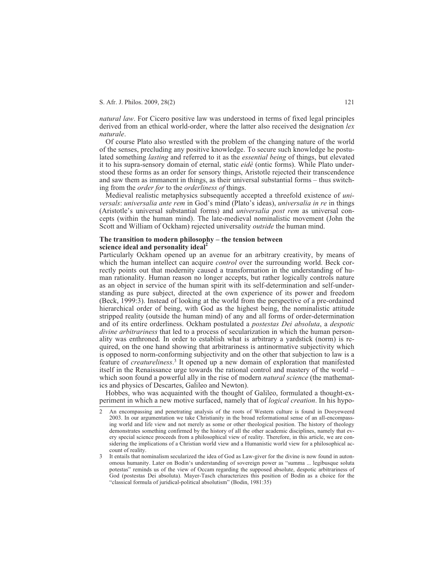*natural law*. For Cicero positive law was understood in terms of fixed legal principles derived from an ethical world-order, where the latter also received the designation *lex naturale*.

Of course Plato also wrestled with the problem of the changing nature of the world of the senses, precluding any positive knowledge. To secure such knowledge he postulated something *lasting* and referred to it as the *essential being* of things, but elevated it to his supra-sensory domain of eternal, static *eidè* (ontic forms). While Plato understood these forms as an order for sensory things, Aristotle rejected their transcendence and saw them as immanent in things, as their universal substantial forms – thus switching from the *order for* to the *orderliness of* things.

Medieval realistic metaphysics subsequently accepted a threefold existence of *universals*: *universalia ante rem* in God's mind (Plato's ideas), *universalia in re* in things (Aristotle's universal substantial forms) and *universalia post rem* as universal concepts (within the human mind). The late-medieval nominalistic movement (John the Scott and William of Ockham) rejected universality *outside* the human mind.

#### **The transition to modern philosophy – the tension between science ideal and personality ideal<sup>2</sup>**

Particularly Ockham opened up an avenue for an arbitrary creativity, by means of which the human intellect can acquire *control* over the surrounding world. Beck correctly points out that modernity caused a transformation in the understanding of human rationality. Human reason no longer accepts, but rather logically controls nature as an object in service of the human spirit with its self-determination and self-understanding as pure subject, directed at the own experience of its power and freedom (Beck, 1999:3). Instead of looking at the world from the perspective of a pre-ordained hierarchical order of being, with God as the highest being, the nominalistic attitude stripped reality (outside the human mind) of any and all forms of order-determination and of its entire orderliness. Ockham postulated a *postestas Dei absoluta*, a *despotic divine arbitrariness* that led to a process of secularization in which the human personality was enthroned. In order to establish what is arbitrary a yardstick (norm) is required, on the one hand showing that arbitrariness is antinormative subjectivity which is opposed to norm-conforming subjectivity and on the other that subjection to law is a feature of *creatureliness*. <sup>3</sup> It opened up a new domain of exploration that manifested itself in the Renaissance urge towards the rational control and mastery of the world – which soon found a powerful ally in the rise of modern *natural science* (the mathematics and physics of Descartes, Galileo and Newton).

Hobbes, who was acquainted with the thought of Galileo, formulated a thought-experiment in which a new motive surfaced, namely that of *logical creation*. In his hypo-

<sup>2</sup> An encompassing and penetrating analysis of the roots of Western culture is found in Dooyeweerd 2003. In our argumentation we take Christianity in the broad reformational sense of an all-encompassing world and life view and not merely as some or other theological position. The history of theology demonstrates something confirmed by the history of all the other academic disciplines, namely that every special science proceeds from a philosophical view of reality. Therefore, in this article, we are considering the implications of a Christian world view and a Humanistic world view for a philosophical account of reality.

<sup>3</sup> It entails that nominalism secularized the idea of God as Law-giver for the divine is now found in autonomous humanity. Later on Bodin's understanding of sovereign power as "summa ... legibusque soluta potestas" reminds us of the view of Occam regarding the supposed absolute, despotic arbitrariness of God (postestas Dei absoluta). Mayer-Tasch characterizes this position of Bodin as a choice for the "classical formula of juridical-political absolutism" (Bodin, 1981:35)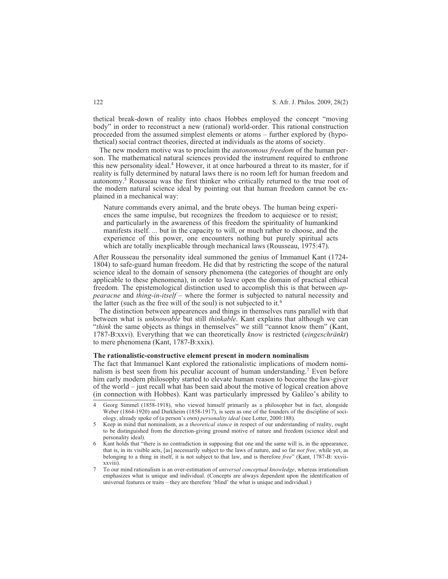thetical break-down of reality into chaos Hobbes employed the concept "moving body" in order to reconstruct a new (rational) world-order. This rational construction proceeded from the assumed simplest elements or atoms – further explored by (hypothetical) social contract theories, directed at individuals as the atoms of society.

The new modern motive was to proclaim the *autonomous freedom* of the human person. The mathematical natural sciences provided the instrument required to enthrone this new personality ideal.4 However, it at once harboured a threat to its master, for if reality is fully determined by natural laws there is no room left for human freedom and autonomy.5 Rousseau was the first thinker who critically returned to the true root of the modern natural science ideal by pointing out that human freedom cannot be explained in a mechanical way:

Nature commands every animal, and the brute obeys. The human being experiences the same impulse, but recognizes the freedom to acquiesce or to resist; and particularly in the awareness of this freedom the spirituality of humankind manifests itself. ... but in the capacity to will, or much rather to choose, and the experience of this power, one encounters nothing but purely spiritual acts which are totally inexplicable through mechanical laws (Rousseau, 1975:47).

After Rousseau the personality ideal summoned the genius of Immanuel Kant (1724- 1804) to safe-guard human freedom. He did that by restricting the scope of the natural science ideal to the domain of sensory phenomena (the categories of thought are only applicable to these phenomena), in order to leave open the domain of practical ethical freedom. The epistemological distinction used to accomplish this is that between *appearacne* and *thing-in-itself* – where the former is subjected to natural necessity and the latter (such as the free will of the soul) is not subjected to it.6

The distinction between appearences and things in themselves runs parallel with that between what is *unknowable* but still *thinkable*. Kant explains that although we can "*think* the same objects as things in themselves" we still "cannot know them" (Kant, 1787-B:xxvi). Everything that we can theoretically *know* is restricted (*eingeschränkt*) to mere phenomena (Kant, 1787-B:xxix).

#### **The rationalistic-constructive element present in modern nominalism**

The fact that Immanuel Kant explored the rationalistic implications of modern nominalism is best seen from his peculiar account of human understanding.7 Even before him early modern philosophy started to elevate human reason to become the law-giver of the world – just recall what has been said about the motive of logical creation above (in connection with Hobbes). Kant was particularly impressed by Galileo's ability to

- 6 Kant holds that "there is no contradiction in supposing that one and the same will is, in the appearance, that is, in its visible acts, [as] necessarily subject to the laws of nature, and so far *not free*, while yet, as belonging to a thing in itself, it is not subject to that law, and is therefore *free*" (Kant, 1787-B: xxviixxviii).
- 7 To our mind rationalism is an over-estimation of *universal conceptual knowledge*, whereas irrationalism emphasizes what is unique and individual. (Concepts are always dependent upon the identification of universal features or traits – they are therefore 'blind' the what is unique and individual.)

<sup>4</sup> Georg Simmel (1858-1918), who viewed himself primarily as a philosopher but in fact, alongside Weber (1864-1920) and Durkheim (1858-1917), is seen as one of the founders of the discipline of sociology, already spoke of (a person's own) *personality ideal* (see Lotter, 2000:188).

<sup>5</sup> Keep in mind that nominalism, as a *theoretical stance* in respect of our understanding of reality, ought to be distinguished from the direction-giving ground motive of nature and freedom (science ideal and personality ideal).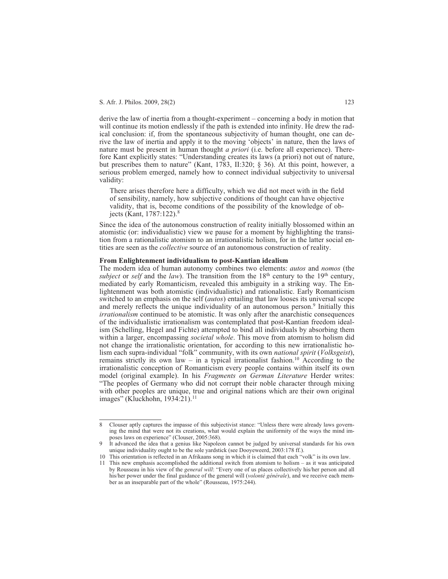derive the law of inertia from a thought-experiment – concerning a body in motion that will continue its motion endlessly if the path is extended into infinity. He drew the radical conclusion: if, from the spontaneous subjectivity of human thought, one can derive the law of inertia and apply it to the moving 'objects' in nature, then the laws of nature must be present in human thought *a priori* (i.e. before all experience). Therefore Kant explicitly states: "Understanding creates its laws (a priori) not out of nature, but prescribes them to nature" (Kant, 1783, II:320; § 36). At this point, however, a serious problem emerged, namely how to connect individual subjectivity to universal validity:

There arises therefore here a difficulty, which we did not meet with in the field of sensibility, namely, how subjective conditions of thought can have objective validity, that is, become conditions of the possibility of the knowledge of objects (Kant, 1787:122).8

Since the idea of the autonomous construction of reality initially blossomed within an atomistic (or: individualistic) view we pause for a moment by highlighting the transition from a rationalistic atomism to an irrationalistic holism, for in the latter social entities are seen as the *collective* source of an autonomous construction of reality.

#### **From Enlightenment individualism to post-Kantian idealism**

The modern idea of human autonomy combines two elements: *autos* and *nomos* (the *subject* or *self* and the *law*). The transition from the  $18<sup>th</sup>$  century to the 19<sup>th</sup> century, mediated by early Romanticism, revealed this ambiguity in a striking way. The Enlightenment was both atomistic (individualistic) and rationalistic. Early Romanticism switched to an emphasis on the self (*autos*) entailing that law looses its universal scope and merely reflects the unique individuality of an autonomous person.9 Initially this *irrationalism* continued to be atomistic. It was only after the anarchistic consequences of the individualistic irrationalism was contemplated that post-Kantian freedom idealism (Schelling, Hegel and Fichte) attempted to bind all individuals by absorbing them within a larger, encompassing *societal whole*. This move from atomism to holism did not change the irrationalistic orientation, for according to this new irrationalistic holism each supra-individual "folk" community, with its own *national spirit* (*Volksgeist*), remains strictly its own law – in a typical irrationalist fashion.<sup>10</sup> According to the irrationalistic conception of Romanticism every people contains within itself its own model (original example). In his *Fragments on German Literature* Herder writes: "The peoples of Germany who did not corrupt their noble character through mixing with other peoples are unique, true and original nations which are their own original images" (Kluckhohn, 1934:21).<sup>11</sup>

<sup>8</sup> Clouser aptly captures the impasse of this subjectivist stance: "Unless there were already laws governing the mind that were not its creations, what would explain the uniformity of the ways the mind imposes laws on experience" (Clouser, 2005:368).

It advanced the idea that a genius like Napoleon cannot be judged by universal standards for his own unique individuality ought to be the sole yardstick (see Dooyeweerd, 2003:178 ff.).

<sup>10</sup> This orientation is reflected in an Afrikaans song in which it is claimed that each "volk" is its own law.

<sup>11</sup> This new emphasis accomplished the additional switch from atomism to holism – as it was anticipated by Rousseau in his view of the *general will*: "Every one of us places collectively his/her person and all his/her power under the final guidance of the general will (*volonté générale*), and we receive each member as an inseparable part of the whole" (Rousseau, 1975:244).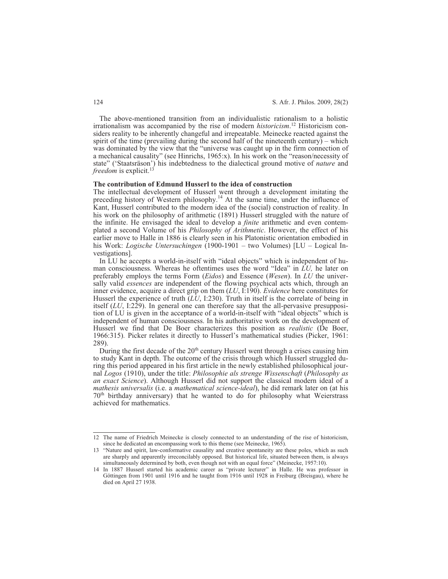The above-mentioned transition from an individualistic rationalism to a holistic irrationalism was accompanied by the rise of modern *historicism*. <sup>12</sup> Historicism considers reality to be inherently changeful and irrepeatable. Meinecke reacted against the spirit of the time (prevailing during the second half of the nineteenth century) – which was dominated by the view that the "universe was caught up in the firm connection of a mechanical causality" (see Hinrichs, 1965:x). In his work on the "reason/necessity of state" ('Staatsräson') his indebtedness to the dialectical ground motive of *nature* and *freedom* is explicit.<sup>13</sup>

## **The contribution of Edmund Husserl to the idea of construction**

The intellectual development of Husserl went through a development imitating the preceding history of Western philosophy.<sup>14</sup> At the same time, under the influence of Kant, Husserl contributed to the modern idea of the (social) construction of reality. In his work on the philosophy of arithmetic (1891) Husserl struggled with the nature of the infinite. He envisaged the ideal to develop a *finite* arithmetic and even contemplated a second Volume of his *Philosophy of Arithmetic*. However, the effect of his earlier move to Halle in 1886 is clearly seen in his Platonistic orientation embodied in his Work: *Logische Untersuchingen* (1900-1901 – two Volumes) [LU – Logical Investigations].

In LU he accepts a world-in-itself with "ideal objects" which is independent of human consciousness. Whereas he oftentimes uses the word "Idea" in *LU,* he later on preferably employs the terms Form (*Eidos*) and Essence (*Wesen*). In *LU* the universally valid *essences* are independent of the flowing psychical acts which, through an inner evidence, acquire a direct grip on them (*LU*, I:190). *Evidence* here constitutes for Husserl the experience of truth (*LU*, I:230). Truth in itself is the correlate of being in itself (*LU*, I:229). In general one can therefore say that the all-pervasive presupposition of LU is given in the acceptance of a world-in-itself with "ideal objects" which is independent of human consciousness. In his authoritative work on the development of Husserl we find that De Boer characterizes this position as *realistic* (De Boer, 1966:315)*.* Picker relates it directly to Husserl's mathematical studies (Picker, 1961: 289).

During the first decade of the  $20<sup>th</sup>$  century Husserl went through a crises causing him to study Kant in depth. The outcome of the crisis through which Husserl struggled during this period appeared in his first article in the newly established philosophical journal *Logos* (1910), under the title: *Philosophie als strenge Wissenschaft* (*Philosophy as an exact Science*). Although Husserl did not support the classical modern ideal of a *mathesis universalis* (i.e. a *mathematical science-ideal*), he did remark later on (at his 70th birthday anniversary) that he wanted to do for philosophy what Weierstrass achieved for mathematics.

<sup>12</sup> The name of Friedrich Meinecke is closely connected to an understanding of the rise of historicism, since he dedicated an encompassing work to this theme (see Meinecke, 1965).

<sup>13 &</sup>quot;Nature and spirit, law-conformative causality and creative spontaneity are these poles, which as such are sharply and apparently irreconcilably opposed. But historical life, situated between them, is always simultaneously determined by both, even though not with an equal force" (Meinecke, 1957:10).

<sup>14</sup> In 1887 Husserl started his academic career as "private lecturer" in Halle. He was professor in Göttingen from 1901 until 1916 and he taught from 1916 until 1928 in Freiburg (Breisgau), where he died on April 27 1938.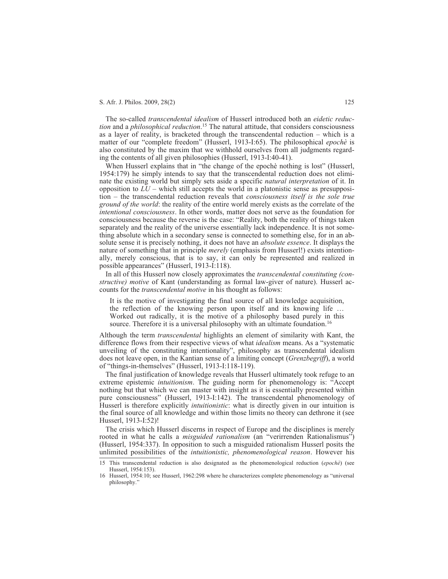The so-called *transcendental idealism* of Husserl introduced both an *eidetic reduction* and a *philosophical reduction*. <sup>15</sup> The natural attitude, that considers consciousness as a layer of reality, is bracketed through the transcendental reduction – which is a matter of our "complete freedom" (Husserl, 1913-I:65). The philosophical *epochè* is also constituted by the maxim that we withhold ourselves from all judgments regarding the contents of all given philosophies (Husserl, 1913-I:40-41).

When Husserl explains that in "the change of the epochè nothing is lost" (Husserl, 1954:179) he simply intends to say that the transcendental reduction does not eliminate the existing world but simply sets aside a specific *natural interpretation* of it. In opposition to  $LU$  – which still accepts the world in a platonistic sense as presupposition – the transcendental reduction reveals that *consciousness itself is the sole true ground of the world*: the reality of the entire world merely exists as the correlate of the *intentional consciousness*. In other words, matter does not serve as the foundation for consciousness because the reverse is the case: "Reality, both the reality of things taken separately and the reality of the universe essentially lack independence. It is not something absolute which in a secondary sense is connected to something else, for in an absolute sense it is precisely nothing, it does not have an *absolute essence*. It displays the nature of something that in principle *merely* (emphasis from Husserl!) exists intentionally, merely conscious, that is to say, it can only be represented and realized in possible appearances" (Husserl, 1913-I:118).

In all of this Husserl now closely approximates the *transcendental constituting (constructive) motive* of Kant (understanding as formal law-giver of nature). Husserl accounts for the *transcendental motive* in his thought as follows:

It is the motive of investigating the final source of all knowledge acquisition, the reflection of the knowing person upon itself and its knowing life … Worked out radically, it is the motive of a philosophy based purely in this source. Therefore it is a universal philosophy with an ultimate foundation.<sup>16</sup>

Although the term *transcendental* highlights an element of similarity with Kant, the difference flows from their respective views of what *idealism* means. As a "systematic unveiling of the constituting intentionality", philosophy as transcendental idealism does not leave open, in the Kantian sense of a limiting concept (*Grenzbegriff*), a world of "things-in-themselves" (Husserl, 1913-I:118-119).

The final justification of knowledge reveals that Husserl ultimately took refuge to an extreme epistemic *intuitionism*. The guiding norm for phenomenology is: "Accept nothing but that which we can master with insight as it is essentially presented within pure consciousness" (Husserl, 1913-I:142). The transcendental phenomenology of Husserl is therefore explicitly *intuitionistic*: what is directly given in our intuition is the final source of all knowledge and within those limits no theory can dethrone it (see Husserl, 1913-I:52)!

The crisis which Husserl discerns in respect of Europe and the disciplines is merely rooted in what he calls a *misguided rationalism* (an "verirrenden Rationalismus") (Husserl, 1954:337). In opposition to such a misguided rationalism Husserl posits the unlimited possibilities of the *intuitionistic, phenomenological reason*. However his

<sup>15</sup> This transcendental reduction is also designated as the phenomenological reduction (*epochè*) (see Husserl, 1954:153).

<sup>16</sup> Husserl, 1954:10; see Husserl, 1962:298 where he characterizes complete phenomenology as "universal philosophy."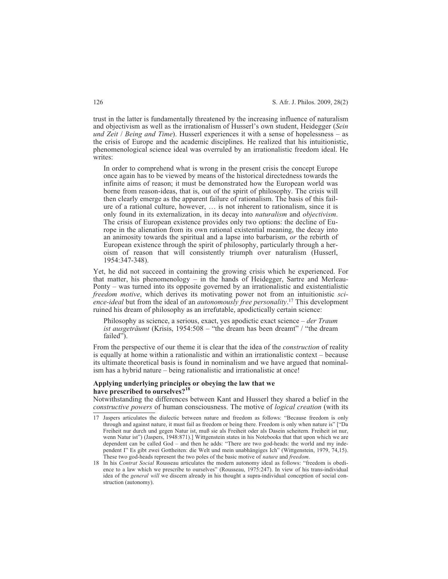trust in the latter is fundamentally threatened by the increasing influence of naturalism and objectivism as well as the irrationalism of Husserl's own student, Heidegger (*Sein und Zeit* / *Being and Time*). Husserl experiences it with a sense of hopelessness – as the crisis of Europe and the academic disciplines. He realized that his intuitionistic, phenomenological science ideal was overruled by an irrationalistic freedom ideal. He writes:

In order to comprehend what is wrong in the present crisis the concept Europe once again has to be viewed by means of the historical directedness towards the infinite aims of reason; it must be demonstrated how the European world was borne from reason-ideas, that is, out of the spirit of philosophy. The crisis will then clearly emerge as the apparent failure of rationalism. The basis of this failure of a rational culture, however, … is not inherent to rationalism, since it is only found in its externalization, in its decay into *naturalism* and *objectivism*. The crisis of European existence provides only two options: the decline of Europe in the alienation from its own rational existential meaning, the decay into an animosity towards the spiritual and a lapse into barbarism, *or* the rebirth of European existence through the spirit of philosophy, particularly through a heroism of reason that will consistently triumph over naturalism (Husserl, 1954:347-348).

Yet, he did not succeed in containing the growing crisis which he experienced. For that matter, his phenomenology – in the hands of Heidegger, Sartre and Merleau-Ponty – was turned into its opposite governed by an irrationalistic and existentialistic *freedom motive*, which derives its motivating power not from an intuitionistic *science-ideal* but from the ideal of an *autonomously free personality*. <sup>17</sup> This development ruined his dream of philosophy as an irrefutable, apodictically certain science:

Philosophy as science, a serious, exact, yes apodictic exact science – *der Traum ist ausgeträumt* (Krisis, 1954:508 – "the dream has been dreamt" / "the dream failed").

From the perspective of our theme it is clear that the idea of the *construction* of reality is equally at home within a rationalistic and within an irrationalistic context – because its ultimate theoretical basis is found in nominalism and we have argued that nominalism has a hybrid nature – being rationalistic and irrationalistic at once!

## **Applying underlying principles or obeying the law that we have prescribed to ourselves?<sup>18</sup>**

Notwithstanding the differences between Kant and Husserl they shared a belief in the *constructive powers* of human consciousness. The motive of *logical creation* (with its

<sup>17</sup> Jaspers articulates the dialectic between nature and freedom as follows: "Because freedom is only through and against nature, it must fail as freedom or being there. Freedom is only when nature is" ["Da Freiheit nur durch und gegen Natur ist, muß sie als Freiheit oder als Dasein scheitern. Freiheit ist nur, wenn Natur ist") (Jaspers, 1948:871).] Wittgenstein states in his Notebooks that that upon which we are dependent can be called God – and then he adds: "There are two god-heads: the world and my independent I" Es gibt zwei Gottheiten: die Welt und mein unabhängiges Ich" (Wittgenstein, 1979, 74,15). These two god-heads represent the two poles of the basic motive of *nature* and *freedom*.

<sup>18</sup> In his *Contrat Social* Rousseau articulates the modern autonomy ideal as follows: "freedom is obedience to a law which we prescribe to ourselves" (Rousseau, 1975:247). In view of his trans-individual idea of the *general will* we discern already in his thought a supra-individual conception of social construction (autonomy).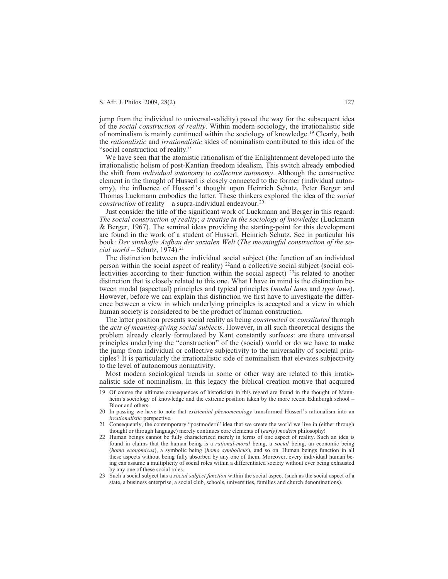jump from the individual to universal-validity) paved the way for the subsequent idea of the *social construction of reality*. Within modern sociology, the irrationalistic side of nominalism is mainly continued within the sociology of knowledge.19 Clearly, both the *rationalistic* and *irrationalistic* sides of nominalism contributed to this idea of the "social construction of reality."

We have seen that the atomistic rationalism of the Enlightenment developed into the irrationalistic holism of post-Kantian freedom idealism. This switch already embodied the shift from *individual autonomy* to *collective autonomy*. Although the constructive element in the thought of Husserl is closely connected to the former (individual autonomy), the influence of Husserl's thought upon Heinrich Schutz, Peter Berger and Thomas Luckmann embodies the latter. These thinkers explored the idea of the *social construction* of reality – a supra-individual endeavour.<sup>20</sup>

Just consider the title of the significant work of Luckmann and Berger in this regard: *The social construction of reality*; *a treatise in the sociology of knowledge* (Luckmann & Berger, 1967). The seminal ideas providing the starting-point for this development are found in the work of a student of Husserl, Heinrich Schutz. See in particular his book: *Der sinnhafte Aufbau der sozialen Welt* (*The meaningful construction of the social world* – Schutz, 1974).21

The distinction between the individual social subject (the function of an individual person within the social aspect of reality) 22and a collective social subject (social collectivities according to their function within the social aspect) <sup>23</sup>is related to another distinction that is closely related to this one. What I have in mind is the distinction between modal (aspectual) principles and typical principles (*modal laws* and *type laws*). However, before we can explain this distinction we first have to investigate the difference between a view in which underlying principles is accepted and a view in which human society is considered to be the product of human construction.

The latter position presents social reality as being *constructed* or *constituted* through the *acts of meaning-giving social subjects*. However, in all such theoretical designs the problem already clearly formulated by Kant constantly surfaces: are there universal principles underlying the "construction" of the (social) world or do we have to make the jump from individual or collective subjectivity to the universality of societal principles? It is particularly the irrationalistic side of nominalism that elevates subjectivity to the level of autonomous normativity.

Most modern sociological trends in some or other way are related to this irrationalistic side of nominalism. In this legacy the biblical creation motive that acquired

<sup>19</sup> Of course the ultimate consequences of historicism in this regard are found in the thought of Mannheim's sociology of knowledge and the extreme position taken by the more recent Edinburgh school – Bloor and others.

<sup>20</sup> In passing we have to note that e*xistential phenomenology* transformed Husserl's rationalism into an *irrationalistic* perspective.

<sup>21</sup> Consequently, the contemporary "postmodern" idea that we create the world we live in (either through thought or through language) merely continues core elements of (*early*) *modern* philosophy!

<sup>22</sup> Human beings cannot be fully characterized merely in terms of one aspect of reality. Such an idea is found in claims that the human being is a *rational-moral* being, a *social* being, an economic being (*homo economicus*), a symbolic being (*homo symbolicus*), and so on. Human beings function in all these aspects without being fully absorbed by any one of them. Moreover, every individual human being can assume a multiplicity of social roles within a differentiated society without ever being exhausted by any one of these social roles.

<sup>23</sup> Such a social subject has a *social subject function* within the social aspect (such as the social aspect of a state, a business enterprise, a social club, schools, universities, families and church denominations).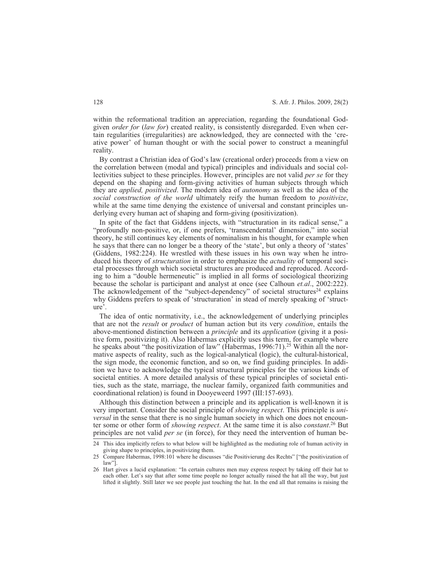within the reformational tradition an appreciation, regarding the foundational Godgiven *order for* (*law for*) created reality, is consistently disregarded. Even when certain regularities (irregularities) are acknowledged, they are connected with the 'creative power' of human thought or with the social power to construct a meaningful reality.

By contrast a Christian idea of God's law (creational order) proceeds from a view on the correlation between (modal and typical) principles and individuals and social collectivities subject to these principles. However, principles are not valid *per se* for they depend on the shaping and form-giving activities of human subjects through which they are *applied, positivized*. The modern idea of *autonomy* as well as the idea of the *social construction of the world* ultimately reify the human freedom to *positivize*, while at the same time denying the existence of universal and constant principles underlying every human act of shaping and form-giving (positivization).

In spite of the fact that Giddens injects, with "structuration in its radical sense," a "profoundly non-positive, or, if one prefers, 'transcendental' dimension," into social theory, he still continues key elements of nominalism in his thought, for example when he says that there can no longer be a theory of the 'state', but only a theory of 'states' (Giddens, 1982:224). He wrestled with these issues in his own way when he introduced his theory of *structuration* in order to emphasize the *actuality* of temporal societal processes through which societal structures are produced and reproduced. According to him a "double hermeneutic" is implied in all forms of sociological theorizing because the scholar is participant and analyst at once (see Calhoun *et.al*., 2002:222). The acknowledgement of the "subject-dependency" of societal structures<sup>24</sup> explains why Giddens prefers to speak of 'structuration' in stead of merely speaking of 'structure'.

The idea of ontic normativity, i.e., the acknowledgement of underlying principles that are not the *result* or *product* of human action but its very *condition*, entails the above-mentioned distinction between a *principle* and its *application* (giving it a positive form, positivizing it). Also Habermas explicitly uses this term, for example where he speaks about "the positivization of law" (Habermas, 1996:71).<sup>25</sup> Within all the normative aspects of reality, such as the logical-analytical (logic), the cultural-historical, the sign mode, the economic function, and so on, we find guiding principles. In addition we have to acknowledge the typical structural principles for the various kinds of societal entities. A more detailed analysis of these typical principles of societal entities, such as the state, marriage, the nuclear family, organized faith communities and coordinational relation) is found in Dooyeweerd 1997 (III:157-693).

Although this distinction between a principle and its application is well-known it is very important. Consider the social principle of *showing respect*. This principle is *universal* in the sense that there is no single human society in which one does not encounter some or other form of *showing respect*. At the same time it is also *constant*. <sup>26</sup> But principles are not valid *per se* (in force), for they need the intervention of human be-

<sup>24</sup> This idea implicitly refers to what below will be highlighted as the mediating role of human activity in giving shape to principles, in positivizing them.

<sup>25</sup> Compare Habermas, 1998:101 where he discusses "die Positivierung des Rechts" ["the positivization of law"].

<sup>26</sup> Hart gives a lucid explanation: "In certain cultures men may express respect by taking off their hat to each other. Let's say that after some time people no longer actually raised the hat all the way, but just lifted it slightly. Still later we see people just touching the hat. In the end all that remains is raising the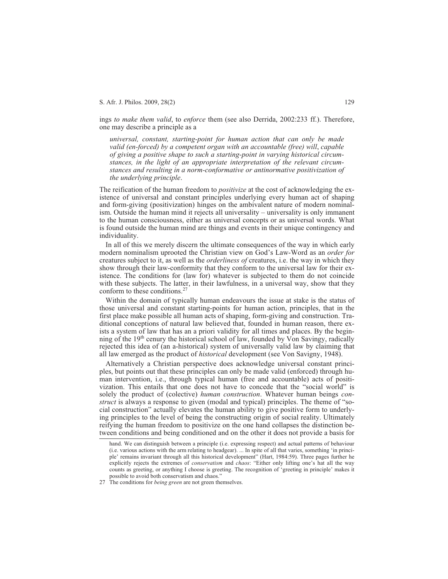ings *to make them valid*, to *enforce* them (see also Derrida, 2002:233 ff.). Therefore, one may describe a principle as a

*universal, constant, starting-point for human action that can only be made valid (en-forced) by a competent organ with an accountable (free) will*, *capable of giving a positive shape to such a starting-point in varying historical circumstances, in the light of an appropriate interpretation of the relevant circumstances and resulting in a norm-conformative or antinormative positivization of the underlying principle*.

The reification of the human freedom to *positivize* at the cost of acknowledging the existence of universal and constant principles underlying every human act of shaping and form-giving (positivization) hinges on the ambivalent nature of modern nominalism. Outside the human mind it rejects all universality – universality is only immanent to the human consciousness, either as universal concepts or as universal words. What is found outside the human mind are things and events in their unique contingency and individuality.

In all of this we merely discern the ultimate consequences of the way in which early modern nominalism uprooted the Christian view on God's Law-Word as an *order for* creatures subject to it, as well as the *orderliness of* creatures, i.e. the way in which they show through their law-conformity that they conform to the universal law for their existence. The conditions for (law for) whatever is subjected to them do not coincide with these subjects. The latter, in their lawfulness, in a universal way, show that they conform to these conditions.<sup>27</sup>

Within the domain of typically human endeavours the issue at stake is the status of those universal and constant starting-points for human action, principles, that in the first place make possible all human acts of shaping, form-giving and construction. Traditional conceptions of natural law believed that, founded in human reason, there exists a system of law that has an a priori validity for all times and places. By the beginning of the 19th cenury the historical school of law, founded by Von Savingy, radically rejected this idea of (an a-historical) system of universally valid law by claiming that all law emerged as the product of *historical* development (see Von Savigny, 1948).

Alternatively a Christian perspective does acknowledge universal constant principles, but points out that these principles can only be made valid (enforced) through human intervention, i.e., through typical human (free and accountable) acts of positivization. This entails that one does not have to concede that the "social world" is solely the product of (colective) *human construction*. Whatever human beings *construct* is always a response to given (modal and typical) principles. The theme of "social construction" actually elevates the human ability to give positive form to underlying principles to the level of being the constructing origin of social reality. Ultimately reifying the human freedom to positivize on the one hand collapses the distinction between conditions and being conditioned and on the other it does not provide a basis for

hand. We can distinguish between a principle (i.e. expressing respect) and actual patterns of behaviour (i.e. various actions with the arm relating to headgear). ... In spite of all that varies, something 'in principle' remains invariant through all this historical development" (Hart, 1984:59). Three pages further he explicitly rejects the extremes of *conservatism* and *chaos*: "Either only lifting one's hat all the way counts as greeting, or anything I choose is greeting. The recognition of 'greeting in principle' makes it possible to avoid both conservatism and chaos."

<sup>27</sup> The conditions for *being green* are not green themselves.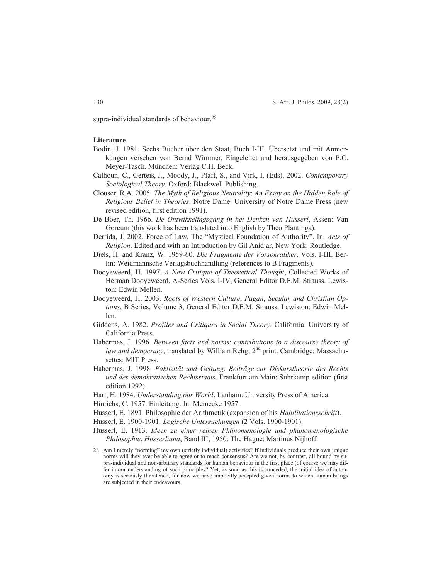supra-individual standards of behaviour.<sup>28</sup>

# **Literature**

- Bodin, J. 1981. Sechs Bücher über den Staat, Buch I-III. Übersetzt und mit Anmerkungen versehen von Bernd Wimmer, Eingeleitet und herausgegeben von P.C. Meyer-Tasch. München: Verlag C.H. Beck.
- Calhoun, C., Gerteis, J., Moody, J., Pfaff, S., and Virk, I. (Eds). 2002. *Contemporary Sociological Theory*. Oxford: Blackwell Publishing.
- Clouser, R.A. 2005. *The Myth of Religious Neutrality*: *An Essay on the Hidden Role of Religious Belief in Theories*. Notre Dame: University of Notre Dame Press (new revised edition, first edition 1991).
- De Boer, Th. 1966. *De Ontwikkelingsgang in het Denken van Husserl*, Assen: Van Gorcum (this work has been translated into English by Theo Plantinga).
- Derrida, J. 2002. Force of Law, The "Mystical Foundation of Authority". In: *Acts of Religion*. Edited and with an Introduction by Gil Anidjar, New York: Routledge.
- Diels, H. and Kranz, W. 1959-60. *Die Fragmente der Vorsokratiker*. Vols. I-III. Berlin: Weidmannsche Verlagsbuchhandlung (references to B Fragments).
- Dooyeweerd, H. 1997. *A New Critique of Theoretical Thought*, Collected Works of Herman Dooyeweerd, A-Series Vols. I-IV, General Editor D.F.M. Strauss. Lewiston: Edwin Mellen.
- Dooyeweerd, H. 2003. *Roots of Western Culture*, *Pagan*, *Secular and Christian Options*, B Series, Volume 3, General Editor D.F.M. Strauss, Lewiston: Edwin Mellen.
- Giddens, A. 1982. *Profiles and Critiques in Social Theory*. California: University of California Press.
- Habermas, J. 1996. *Between facts and norms*: *contributions to a discourse theory of law and democracy*, translated by William Rehg; 2<sup>nd</sup> print. Cambridge: Massachusettes: MIT Press.
- Habermas, J. 1998. *Faktizität und Geltung*. *Beiträge zur Diskurstheorie des Rechts und des demokratischen Rechtsstaats*. Frankfurt am Main: Suhrkamp edition (first edition 1992).
- Hart, H. 1984. *Understanding our World*. Lanham: University Press of America.
- Hinrichs, C. 1957. Einleitung. In: Meinecke 1957.
- Husserl, E. 1891. Philosophie der Arithmetik (expansion of his *Habilitationsschrift*).
- Husserl, E. 1900-1901. *Logische Untersuchungen* (2 Vols. 1900-1901).
- Husserl, E. 1913. *Ideen zu einer reinen Phänomenologie und phänomenologische Philosophie*, *Husserliana*, Band III, 1950. The Hague: Martinus Nijhoff.

<sup>28</sup> Am I merely "norming" my own (strictly individual) activities? If individuals produce their own unique norms will they ever be able to agree or to reach consensus? Are we not, by contrast, all bound by supra-individual and non-arbitrary standards for human behaviour in the first place (of course we may differ in our understanding of such principles? Yet, as soon as this is conceded, the initial idea of autonomy is seriously threatened, for now we have implicitly accepted given norms to which human beings are subjected in their endeavours.